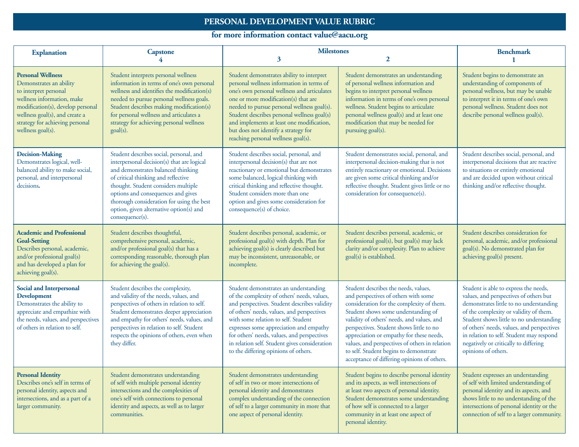## **PERSONAL DEVELOPMENT VALUE RUBRIC**

## **for more information contact value@aacu.org**

| <b>Explanation</b>                                                                                                                                                                                                                        | <b>Capstone</b><br>4                                                                                                                                                                                                                                                                                                                                       | <b>Milestones</b><br>3<br>$\mathbf{2}$                                                                                                                                                                                                                                                                                                                                                                       |                                                                                                                                                                                                                                                                                                                                                                                                                                                   | <b>Benchmark</b>                                                                                                                                                                                                                                                                                                                                                           |
|-------------------------------------------------------------------------------------------------------------------------------------------------------------------------------------------------------------------------------------------|------------------------------------------------------------------------------------------------------------------------------------------------------------------------------------------------------------------------------------------------------------------------------------------------------------------------------------------------------------|--------------------------------------------------------------------------------------------------------------------------------------------------------------------------------------------------------------------------------------------------------------------------------------------------------------------------------------------------------------------------------------------------------------|---------------------------------------------------------------------------------------------------------------------------------------------------------------------------------------------------------------------------------------------------------------------------------------------------------------------------------------------------------------------------------------------------------------------------------------------------|----------------------------------------------------------------------------------------------------------------------------------------------------------------------------------------------------------------------------------------------------------------------------------------------------------------------------------------------------------------------------|
| <b>Personal Wellness</b><br>Demonstrates an ability<br>to interpret personal<br>wellness information, make<br>modification(s), develop personal<br>wellness goal(s), and create a<br>strategy for achieving personal<br>wellness goal(s). | Student interprets personal wellness<br>information in terms of one's own personal<br>wellness and identifies the modification(s)<br>needed to pursue personal wellness goals.<br>Student describes making modification(s)<br>for personal wellness and articulates a<br>strategy for achieving personal wellness<br>goal(s).                              | Student demonstrates ability to interpret<br>personal wellness information in terms of<br>one's own personal wellness and articulates<br>one or more modification(s) that are<br>needed to pursue personal wellness goal(s).<br>Student describes personal wellness goal(s)<br>and implements at least one modification,<br>but does not identify a strategy for<br>reaching personal wellness goal(s).      | Student demonstrates an understanding<br>of personal wellness information and<br>begins to interpret personal wellness<br>information in terms of one's own personal<br>wellness. Student begins to articulate<br>personal wellness goal(s) and at least one<br>modification that may be needed for<br>pursuing goal(s).                                                                                                                          | Student begins to demonstrate an<br>understanding of components of<br>personal wellness, but may be unable<br>to interpret it in terms of one's own<br>personal wellness. Student does not<br>describe personal wellness goal(s).                                                                                                                                          |
| <b>Decision-Making</b><br>Demonstrates logical, well-<br>balanced ability to make social,<br>personal, and interpersonal<br>decisions.                                                                                                    | Student describes social, personal, and<br>interpersonal decision(s) that are logical<br>and demonstrates balanced thinking<br>of critical thinking and reflective<br>thought. Student considers multiple<br>options and consequences and gives<br>thorough consideration for using the best<br>option, given alternative option(s) and<br>consequence(s). | Student describes social, personal, and<br>interpersonal decision(s) that are not<br>reactionary or emotional but demonstrates<br>some balanced, logical thinking with<br>critical thinking and reflective thought.<br>Student considers more than one<br>option and gives some consideration for<br>consequence(s) of choice.                                                                               | Student demonstrates social, personal, and<br>interpersonal decision-making that is not<br>entirely reactionary or emotional. Decisions<br>are given some critical thinking and/or<br>reflective thought. Student gives little or no<br>consideration for consequence(s).                                                                                                                                                                         | Student describes social, personal, and<br>interpersonal decisions that are reactive<br>to situations or entirely emotional<br>and are decided upon without critical<br>thinking and/or reflective thought.                                                                                                                                                                |
| <b>Academic and Professional</b><br><b>Goal-Setting</b><br>Describes personal, academic,<br>and/or professional goal(s)<br>and has developed a plan for<br>achieving goal(s).                                                             | Student describes thoughtful,<br>comprehensive personal, academic,<br>and/or professional goal(s) that has a<br>corresponding reasonable, thorough plan<br>for achieving the goal(s).                                                                                                                                                                      | Student describes personal, academic, or<br>professional goal(s) with depth. Plan for<br>achieving goal(s) is clearly described but<br>may be inconsistent, unreasonable, or<br>incomplete.                                                                                                                                                                                                                  | Student describes personal, academic, or<br>professional goal(s), but goal(s) may lack<br>clarity and/or complexity. Plan to achieve<br>goal(s) is established.                                                                                                                                                                                                                                                                                   | Student describes consideration for<br>personal, academic, and/or professional<br>goal(s). No demonstrated plan for<br>achieving goal(s) present.                                                                                                                                                                                                                          |
| <b>Social and Interpersonal</b><br><b>Development</b><br>Demonstrates the ability to<br>appreciate and empathize with<br>the needs, values, and perspectives<br>of others in relation to self.                                            | Student describes the complexity,<br>and validity of the needs, values, and<br>perspectives of others in relation to self.<br>Student demonstrates deeper appreciation<br>and empathy for others' needs, values, and<br>perspectives in relation to self. Student<br>respects the opinions of others, even when<br>they differ.                            | Student demonstrates an understanding<br>of the complexity of others' needs, values,<br>and perspectives. Student describes validity<br>of others' needs, values, and perspectives<br>with some relation to self. Student<br>expresses some appreciation and empathy<br>for others' needs, values, and perspectives<br>in relation self. Student gives consideration<br>to the differing opinions of others. | Student describes the needs, values,<br>and perspectives of others with some<br>consideration for the complexity of them.<br>Student shows some understanding of<br>validity of others' needs, and values, and<br>perspectives. Student shows little to no<br>appreciation or empathy for these needs,<br>values, and perspectives of others in relation<br>to self. Student begins to demonstrate<br>acceptance of differing opinions of others. | Student is able to express the needs,<br>values, and perspectives of others but<br>demonstrates little to no understanding<br>of the complexity or validity of them.<br>Student shows little to no understanding<br>of others' needs, values, and perspectives<br>in relation to self. Student may respond<br>negatively or critically to differing<br>opinions of others. |
| <b>Personal Identity</b><br>Describes one's self in terms of<br>personal identity, aspects and<br>intersections, and as a part of a<br>larger community.                                                                                  | Student demonstrates understanding<br>of self with multiple personal identity<br>intersections and the complexities of<br>one's self with connections to personal<br>identity and aspects, as well as to larger<br>communities.                                                                                                                            | Student demonstrates understanding<br>of self in two or more intersections of<br>personal identity and demonstrates<br>complex understanding of the connection<br>of self to a larger community in more that<br>one aspect of personal identity.                                                                                                                                                             | Student begins to describe personal identity<br>and its aspects, as well intersections of<br>at least two aspects of personal identity.<br>Student demonstrates some understanding<br>of how self is connected to a larger<br>community in at least one aspect of<br>personal identity.                                                                                                                                                           | Student expresses an understanding<br>of self with limited understanding of<br>personal identity and its aspects, and<br>shows little to no understanding of the<br>intersections of personal identity or the<br>connection of self to a larger community.                                                                                                                 |